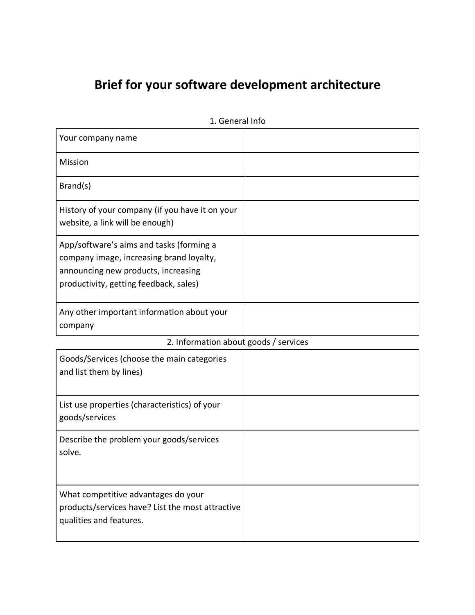# **Brief for your software development architecture**

| Your company name                                                                                                                                                     |  |
|-----------------------------------------------------------------------------------------------------------------------------------------------------------------------|--|
| Mission                                                                                                                                                               |  |
| Brand(s)                                                                                                                                                              |  |
| History of your company (if you have it on your<br>website, a link will be enough)                                                                                    |  |
| App/software's aims and tasks (forming a<br>company image, increasing brand loyalty,<br>announcing new products, increasing<br>productivity, getting feedback, sales) |  |
| Any other important information about your<br>company                                                                                                                 |  |
| 2. Information about goods / services                                                                                                                                 |  |
| Goods/Services (choose the main categories<br>and list them by lines)                                                                                                 |  |
| List use properties (characteristics) of your<br>goods/services                                                                                                       |  |
|                                                                                                                                                                       |  |
| Describe the problem your goods/services<br>solve.                                                                                                                    |  |

1. General Info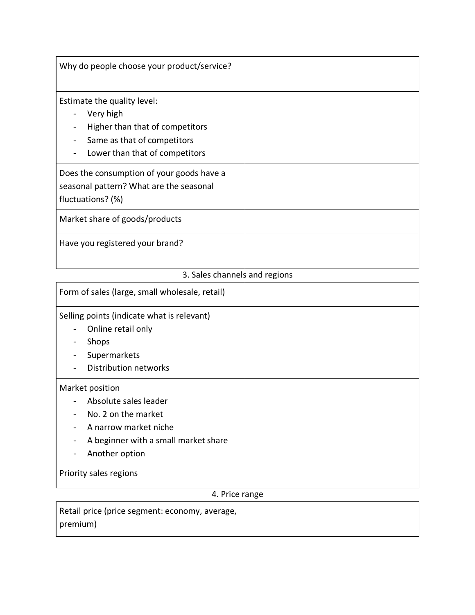| Why do people choose your product/service?                                                                                                   |  |
|----------------------------------------------------------------------------------------------------------------------------------------------|--|
| Estimate the quality level:<br>Very high<br>Higher than that of competitors<br>Same as that of competitors<br>Lower than that of competitors |  |
| Does the consumption of your goods have a<br>seasonal pattern? What are the seasonal<br>fluctuations? (%)                                    |  |
| Market share of goods/products                                                                                                               |  |
| Have you registered your brand?                                                                                                              |  |

# 3. Sales channels and regions

| Form of sales (large, small wholesale, retail)                                                                                                                               |  |
|------------------------------------------------------------------------------------------------------------------------------------------------------------------------------|--|
| Selling points (indicate what is relevant)<br>Online retail only<br>Shops<br>Supermarkets<br>Distribution networks                                                           |  |
| Market position<br>Absolute sales leader<br>No. 2 on the market<br>A narrow market niche<br>A beginner with a small market share<br>Another option<br>Priority sales regions |  |
| $\cdots$                                                                                                                                                                     |  |

### 4. Price range

| Retail price (price segment: economy, average, |  |
|------------------------------------------------|--|
| premium)                                       |  |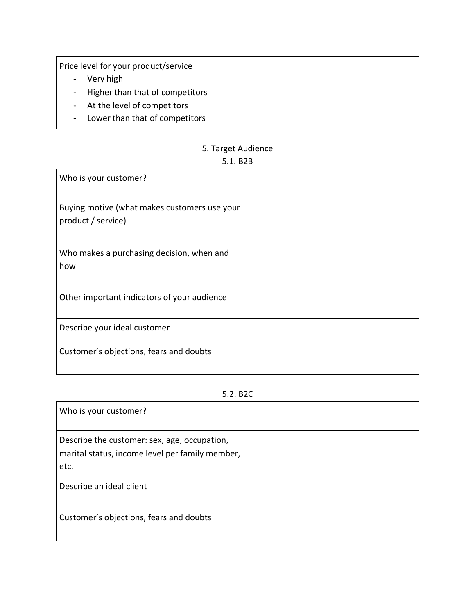| Price level for your product/service |  |
|--------------------------------------|--|
| Very high                            |  |
| - Higher than that of competitors    |  |
| - At the level of competitors        |  |
| Lower than that of competitors       |  |

### 5. Target Audience

## 5.1. B2B

| Who is your customer?                                              |  |
|--------------------------------------------------------------------|--|
| Buying motive (what makes customers use your<br>product / service) |  |
| Who makes a purchasing decision, when and<br>how                   |  |
| Other important indicators of your audience                        |  |
| Describe your ideal customer                                       |  |
| Customer's objections, fears and doubts                            |  |

#### 5.2. B2C

| Who is your customer?                                                                                   |  |
|---------------------------------------------------------------------------------------------------------|--|
| Describe the customer: sex, age, occupation,<br>marital status, income level per family member,<br>etc. |  |
| Describe an ideal client                                                                                |  |
| Customer's objections, fears and doubts                                                                 |  |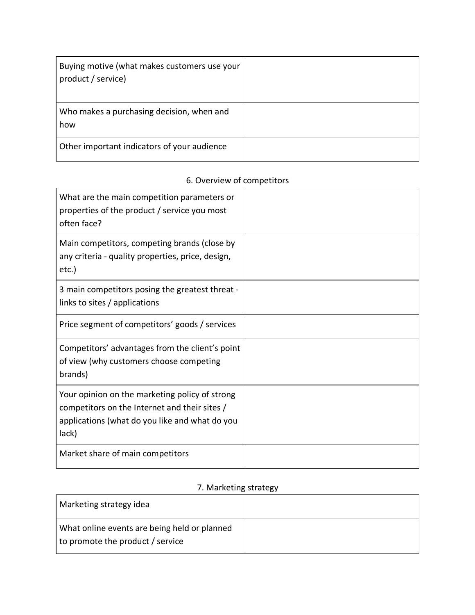| Buying motive (what makes customers use your<br>product / service) |  |
|--------------------------------------------------------------------|--|
| Who makes a purchasing decision, when and<br>how                   |  |
| Other important indicators of your audience                        |  |

# 6. Overview of competitors

| What are the main competition parameters or<br>properties of the product / service you most<br>often face?                                                 |  |
|------------------------------------------------------------------------------------------------------------------------------------------------------------|--|
| Main competitors, competing brands (close by<br>any criteria - quality properties, price, design,<br>$etc.$ )                                              |  |
| 3 main competitors posing the greatest threat -<br>links to sites / applications                                                                           |  |
| Price segment of competitors' goods / services                                                                                                             |  |
| Competitors' advantages from the client's point<br>of view (why customers choose competing<br>brands)                                                      |  |
| Your opinion on the marketing policy of strong<br>competitors on the Internet and their sites /<br>applications (what do you like and what do you<br>lack) |  |
| Market share of main competitors                                                                                                                           |  |

## 7. Marketing strategy

| Marketing strategy idea                                                          |  |
|----------------------------------------------------------------------------------|--|
| What online events are being held or planned<br>to promote the product / service |  |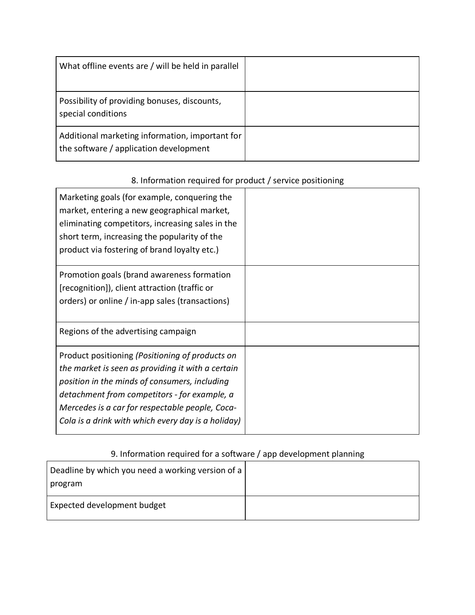| What offline events are / will be held in parallel                                        |  |
|-------------------------------------------------------------------------------------------|--|
| Possibility of providing bonuses, discounts,<br>special conditions                        |  |
| Additional marketing information, important for<br>the software / application development |  |

## 8. Information required for product / service positioning

| Marketing goals (for example, conquering the<br>market, entering a new geographical market,<br>eliminating competitors, increasing sales in the<br>short term, increasing the popularity of the<br>product via fostering of brand loyalty etc.) |  |
|-------------------------------------------------------------------------------------------------------------------------------------------------------------------------------------------------------------------------------------------------|--|
| Promotion goals (brand awareness formation                                                                                                                                                                                                      |  |
| [recognition]), client attraction (traffic or                                                                                                                                                                                                   |  |
| orders) or online / in-app sales (transactions)                                                                                                                                                                                                 |  |
| Regions of the advertising campaign                                                                                                                                                                                                             |  |
| Product positioning (Positioning of products on                                                                                                                                                                                                 |  |
| the market is seen as providing it with a certain                                                                                                                                                                                               |  |
| position in the minds of consumers, including                                                                                                                                                                                                   |  |
| detachment from competitors - for example, a                                                                                                                                                                                                    |  |
| Mercedes is a car for respectable people, Coca-                                                                                                                                                                                                 |  |
| Cola is a drink with which every day is a holiday)                                                                                                                                                                                              |  |

# 9. Information required for a software / app development planning

| Deadline by which you need a working version of a<br>  program |  |
|----------------------------------------------------------------|--|
| <b>Expected development budget</b>                             |  |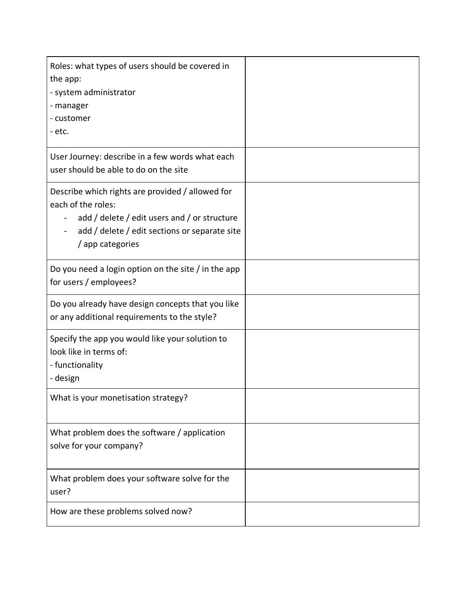| Roles: what types of users should be covered in<br>the app:<br>- system administrator<br>- manager<br>- customer<br>- etc.                                                                                                                          |  |
|-----------------------------------------------------------------------------------------------------------------------------------------------------------------------------------------------------------------------------------------------------|--|
| User Journey: describe in a few words what each<br>user should be able to do on the site                                                                                                                                                            |  |
| Describe which rights are provided / allowed for<br>each of the roles:<br>add / delete / edit users and / or structure<br>$\overline{\phantom{0}}$<br>add / delete / edit sections or separate site<br>$\overline{\phantom{0}}$<br>/ app categories |  |
| Do you need a login option on the site / in the app<br>for users / employees?                                                                                                                                                                       |  |
| Do you already have design concepts that you like<br>or any additional requirements to the style?                                                                                                                                                   |  |
| Specify the app you would like your solution to<br>look like in terms of:<br>- functionality<br>- design                                                                                                                                            |  |
| What is your monetisation strategy?                                                                                                                                                                                                                 |  |
| What problem does the software / application<br>solve for your company?                                                                                                                                                                             |  |
| What problem does your software solve for the<br>user?                                                                                                                                                                                              |  |
| How are these problems solved now?                                                                                                                                                                                                                  |  |